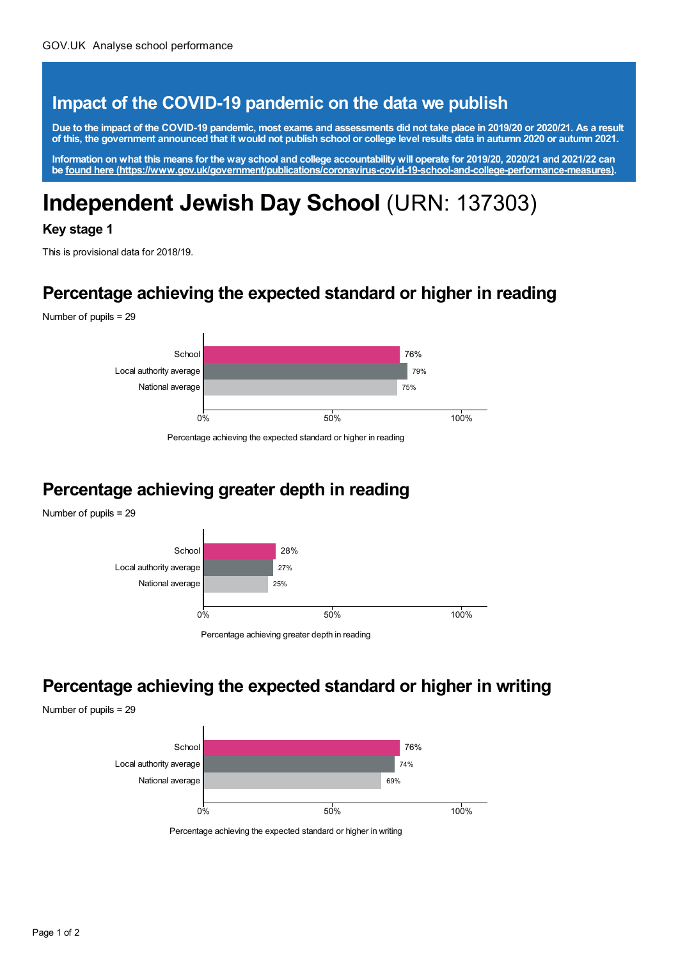#### **Impact of the COVID-19 pandemic on the data we publish**

Due to the impact of the COVID-19 pandemic, most exams and assessments did not take place in 2019/20 or 2020/21. As a result of this, the government announced that it would not publish school or college level results data in autumn 2020 or autumn 2021.

Information on what this means for the way school and college accountability will operate for 2019/20, 2020/21 and 2021/22 can **be found here [\(https://www.gov.uk/government/publications/coronavirus-covid-19-school-and-college-performance-measures\)](https://www.gov.uk/government/publications/coronavirus-covid-19-school-and-college-performance-measures).**

# **Independent Jewish Day School** (URN: 137303)

#### **Key stage 1**

This is provisional data for 2018/19.

#### **Percentage achieving the expected standard or higher in reading**

Number of pupils = 29



Percentage achieving the expected standard or higher in reading

#### **Percentage achieving greater depth in reading**

Number of pupils = 29



Percentage achieving greater depth in reading

#### **Percentage achieving the expected standard or higher in writing**

Number of pupils = 29



Percentage achieving the expected standard or higher in writing